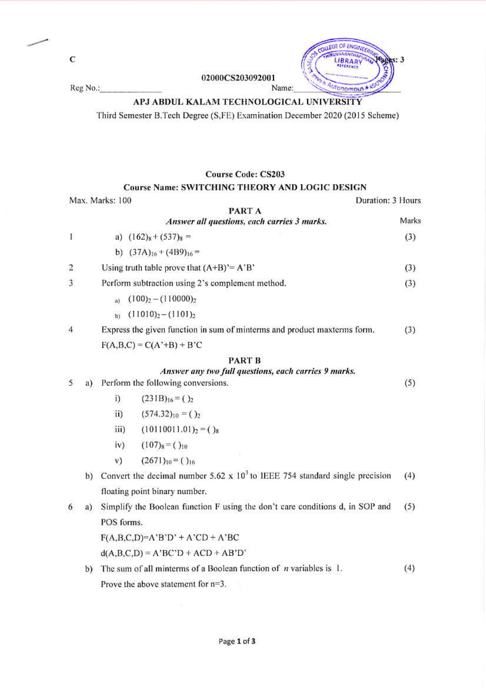$\mathbf C$ 





#### **IVANANTHA**  $\overline{\text{ss}}$ : 3 ۵N utonomous \* Name:

EGE OF ENGINEER

## APJ ABDUL KALAM TECHNOLOGICAL UNIVERSITY

Third Semester B.Tech Degree (S,FE) Examination December 2020 (2015 Scheme)

### **Course Code: CS203**

#### **Course Name: SWITCHING THEORY AND LOGIC DESIGN**

|                | Max. Marks: 100 |                                                  | Duration: 3 Hours                                                             |       |  |  |
|----------------|-----------------|--------------------------------------------------|-------------------------------------------------------------------------------|-------|--|--|
|                |                 |                                                  | PART A                                                                        |       |  |  |
|                |                 |                                                  | Answer all questions, each carries 3 marks.                                   | Marks |  |  |
| Ľ              |                 |                                                  | a) $(162)_8 + (537)_8 =$                                                      | (3)   |  |  |
|                |                 |                                                  | b) $(37A)_{16} + (4B9)_{16} =$                                                |       |  |  |
| 2              |                 |                                                  | Using truth table prove that $(A+B)^* = A'B'$                                 | (3)   |  |  |
| 3              |                 | Perform subtraction using 2's complement method. |                                                                               |       |  |  |
|                |                 | $\mathbf{a}$                                     | $(100)2 - (110000)2$                                                          |       |  |  |
|                |                 | b)                                               | $(11010)2-(1101)2$                                                            |       |  |  |
| $\overline{4}$ |                 |                                                  | Express the given function in sum of minterms and product maxterms form.      | (3)   |  |  |
|                |                 |                                                  | $F(A,B,C) = C(A^2+B) + B^2C$                                                  |       |  |  |
|                |                 |                                                  | PART B                                                                        |       |  |  |
|                |                 |                                                  | Answer any two full questions, each carries 9 marks.                          | (5)   |  |  |
| 5              | a)              | Perform the following conversions.               |                                                                               |       |  |  |
|                |                 | i)                                               | $(231B)_{16} = ()_2$                                                          |       |  |  |
|                |                 | $\mathbf{ii}$                                    | $(574.32)_{10} = ()$                                                          |       |  |  |
|                |                 | iii)                                             | $(10110011.01)2 = ()$                                                         |       |  |  |
|                |                 | iv)                                              | $(107)8 = ( )10$                                                              |       |  |  |
|                |                 | V)                                               | $(2671)_{10} = ()_{16}$                                                       |       |  |  |
|                | b)              |                                                  | Convert the decimal number 5.62 x $103$ to IEEE 754 standard single precision | (4)   |  |  |
|                |                 |                                                  | floating point binary number.                                                 |       |  |  |
| 6              | a)              |                                                  | Simplify the Boolean function F using the don't care conditions d, in SOP and | (5)   |  |  |
|                |                 | POS forms.                                       |                                                                               |       |  |  |
|                |                 |                                                  | $F(A,B,C,D)=A'B'D' + A'CD + A'BC$                                             |       |  |  |
|                |                 |                                                  | $d(A,B,C,D) = A'BC'D + ACD + AB'D'$                                           |       |  |  |
|                | b)              |                                                  | The sum of all minterms of a Boolean function of $n$ variables is 1.          | (4)   |  |  |
|                |                 |                                                  | Prove the above statement for $n=3$ .                                         |       |  |  |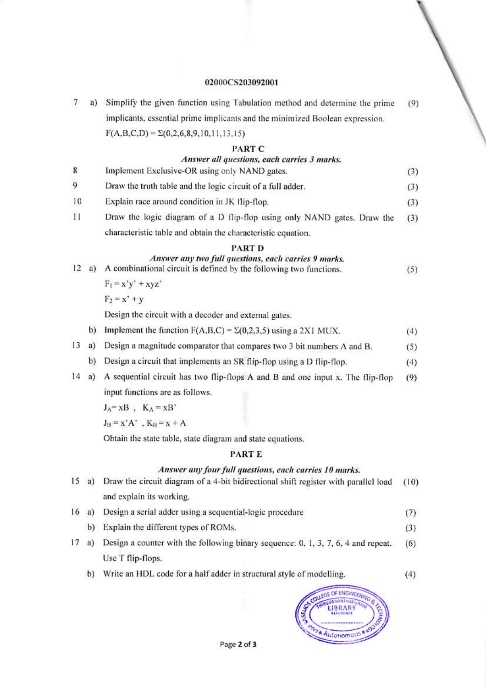# 02000CS203092001

| 7               | a) | Simplify the given function using Tabulation method and determine the prime                                                                   | (9)  |
|-----------------|----|-----------------------------------------------------------------------------------------------------------------------------------------------|------|
|                 |    | implicants, essential prime implicants and the minimized Boolean expression.                                                                  |      |
|                 |    | $F(A,B,C,D) = \Sigma(0,2,6,8,9,10,11,13,15)$                                                                                                  |      |
|                 |    | PART C                                                                                                                                        |      |
|                 |    | Answer all questions, each carries 3 marks.                                                                                                   |      |
| 8               |    | Implement Exclusive-OR using only NAND gates.                                                                                                 | (3)  |
| 9               |    | Draw the truth table and the logic circuit of a full adder.                                                                                   | (3)  |
| 10              |    | Explain race around condition in JK flip-flop.                                                                                                | (3)  |
| 11              |    | Draw the logic diagram of a D flip-flop using only NAND gates. Draw the                                                                       | (3)  |
|                 |    | characteristic table and obtain the characteristic equation.                                                                                  |      |
| 12              | a) | <b>PART D</b><br>Answer any two full questions, each carries 9 marks.<br>A combinational circuit is defined by the following two functions.   | (5)  |
|                 |    | $F_1 = x'y' + xyz'$                                                                                                                           |      |
|                 |    | $F_2 = x' + y$                                                                                                                                |      |
|                 |    | Design the circuit with a decoder and external gates.                                                                                         |      |
|                 | b) | Implement the function $F(A,B,C) = \Sigma(0,2,3,5)$ using a 2X1 MUX.                                                                          | (4)  |
| 13 <sup>7</sup> | a) | Design a magnitude comparator that compares two 3 bit numbers A and B.                                                                        | (5)  |
|                 | b) | Design a circuit that implements an SR flip-flop using a D flip-flop.                                                                         | (4)  |
| 14              | a) | A sequential circuit has two flip-flops A and B and one input x. The flip-flop                                                                | (9)  |
|                 |    | input functions are as follows.                                                                                                               |      |
|                 |    | $J_A = xB$ , $K_A = xB'$                                                                                                                      |      |
|                 |    | $J_B = x' A'$ , $K_B = x + A$                                                                                                                 |      |
|                 |    | Obtain the state table, state diagram and state equations.                                                                                    |      |
|                 |    | PART E                                                                                                                                        |      |
| 15              | a) | Answer any four full questions, each carries 10 marks.<br>Draw the circuit diagram of a 4-bit bidirectional shift register with parallel load | (10) |
|                 |    | and explain its working.                                                                                                                      |      |
| 16              |    |                                                                                                                                               |      |
|                 | a) | Design a serial adder using a sequential-logic procedure                                                                                      | (7)  |
|                 | b) | Explain the different types of ROMs.                                                                                                          | (3)  |
| 17              | a) | Design a counter with the following binary sequence: 0, 1, 3, 7, 6, 4 and repeat.                                                             | (6)  |
|                 |    | Use T flip-flops.                                                                                                                             |      |
|                 | b) | Write an HDL code for a half adder in structural style of modelling.                                                                          | (4)  |
|                 |    |                                                                                                                                               |      |